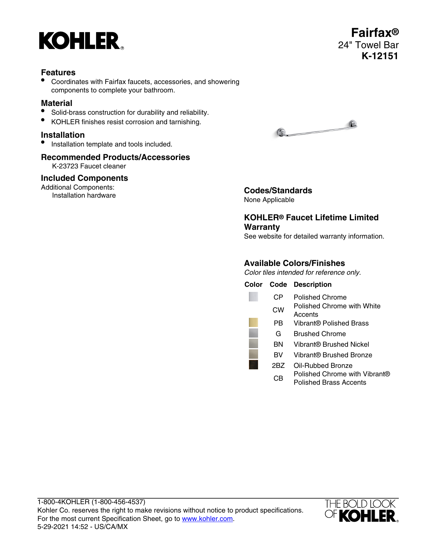

• Coordinates with Fairfax faucets, accessories, and showering components to complete your bathroom.

## **Material**

- Solid-brass construction for durability and reliability.
- KOHLER finishes resist corrosion and tarnishing.

## **Installation**

• Installation template and tools included.

# **Recommended Products/Accessories**

K-23723 Faucet cleaner

### **Included Components**

Additional Components: **Intional Components:**<br> **Installation hardware Codes/Standards** 



None Applicable

# **KOHLER® Faucet Lifetime Limited Warranty**

See website for detailed warranty information.

# **Available Colors/Finishes**

Color tiles intended for reference only.

| Color |     | <b>Code Description</b>                                 |
|-------|-----|---------------------------------------------------------|
|       | CР  | Polished Chrome                                         |
|       | СW  | <b>Polished Chrome with White</b><br>Accents            |
|       | РB  | Vibrant® Polished Brass                                 |
|       | G   | <b>Brushed Chrome</b>                                   |
|       | ΒN  | Vibrant® Brushed Nickel                                 |
|       | BV  | Vibrant® Brushed Bronze                                 |
|       | 2BZ | Oil-Rubbed Bronze                                       |
|       | СB  | Polished Chrome with Vibrant®<br>Polished Brass Accents |